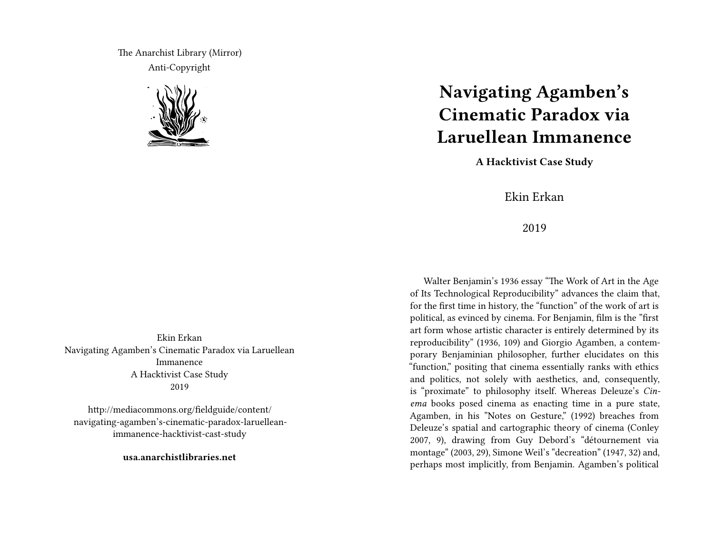The Anarchist Library (Mirror) Anti-Copyright



Ekin Erkan Navigating Agamben's Cinematic Paradox via Laruellean Immanence A Hacktivist Case Study 2019

http://mediacommons.org/fieldguide/content/ navigating-agamben's-cinematic-paradox-laruelleanimmanence-hacktivist-cast-study

**usa.anarchistlibraries.net**

## **Navigating Agamben's Cinematic Paradox via Laruellean Immanence**

**A Hacktivist Case Study**

Ekin Erkan

2019

Walter Benjamin's 1936 essay "The Work of Art in the Age of Its Technological Reproducibility" advances the claim that, for the first time in history, the "function" of the work of art is political, as evinced by cinema. For Benjamin, film is the "first art form whose artistic character is entirely determined by its reproducibility" (1936, 109) and Giorgio Agamben, a contemporary Benjaminian philosopher, further elucidates on this "function," positing that cinema essentially ranks with ethics and politics, not solely with aesthetics, and, consequently, is "proximate" to philosophy itself. Whereas Deleuze's *Cinema* books posed cinema as enacting time in a pure state, Agamben, in his "Notes on Gesture," (1992) breaches from Deleuze's spatial and cartographic theory of cinema (Conley 2007, 9), drawing from Guy Debord's "détournement via montage" (2003, 29), Simone Weil's "decreation" (1947, 32) and, perhaps most implicitly, from Benjamin. Agamben's political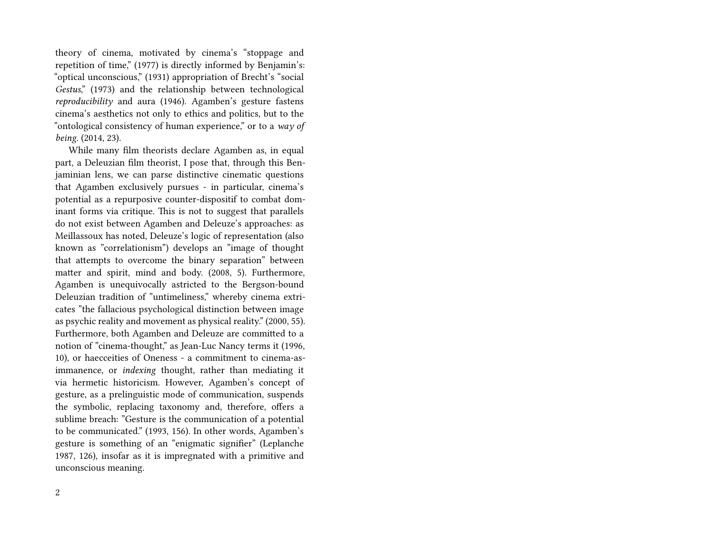theory of cinema, motivated by cinema's "stoppage and repetition of time," (1977) is directly informed by Benjamin's: "optical unconscious," (1931) appropriation of Brecht's "social *Gestus*," (1973) and the relationship between technological *reproducibility* and aura (1946). Agamben's gesture fastens cinema's aesthetics not only to ethics and politics, but to the "ontological consistency of human experience," or to a *way of being.* (2014, 23).

While many film theorists declare Agamben as, in equal part, a Deleuzian film theorist, I pose that, through this Benjaminian lens, we can parse distinctive cinematic questions that Agamben exclusively pursues - in particular, cinema's potential as a repurposive counter-dispositif to combat dominant forms via critique. This is not to suggest that parallels do not exist between Agamben and Deleuze's approaches: as Meillassoux has noted, Deleuze's logic of representation (also known as "correlationism") develops an "image of thought that attempts to overcome the binary separation" between matter and spirit, mind and body. (2008, 5). Furthermore, Agamben is unequivocally astricted to the Bergson-bound Deleuzian tradition of "untimeliness," whereby cinema extricates "the fallacious psychological distinction between image as psychic reality and movement as physical reality." (2000, 55). Furthermore, both Agamben and Deleuze are committed to a notion of "cinema-thought," as Jean-Luc Nancy terms it (1996, 10), or haecceities of Oneness - a commitment to cinema-asimmanence, or *indexing* thought, rather than mediating it via hermetic historicism. However, Agamben's concept of gesture, as a prelinguistic mode of communication, suspends the symbolic, replacing taxonomy and, therefore, offers a sublime breach: "Gesture is the communication of a potential to be communicated." (1993, 156). In other words, Agamben's gesture is something of an "enigmatic signifier" (Leplanche 1987, 126), insofar as it is impregnated with a primitive and unconscious meaning.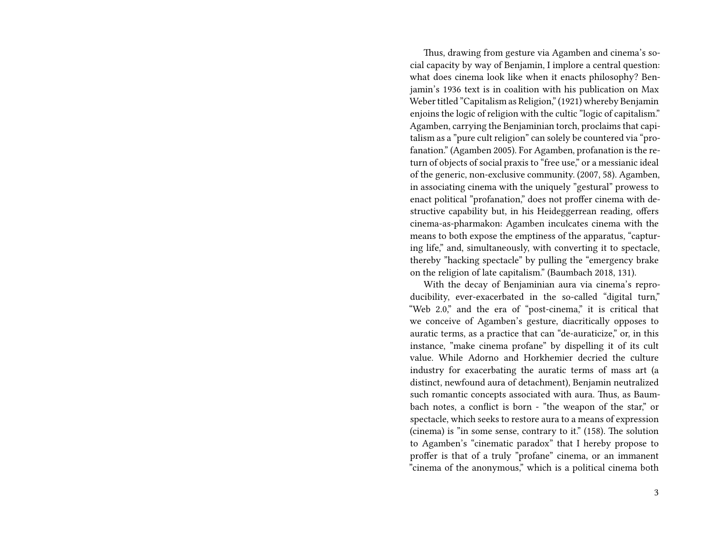Thus, drawing from gesture via Agamben and cinema's social capacity by way of Benjamin, I implore a central question: what does cinema look like when it enacts philosophy? Benjamin's 1936 text is in coalition with his publication on Max Weber titled "Capitalism as Religion," (1921) whereby Benjamin enjoins the logic of religion with the cultic "logic of capitalism." Agamben, carrying the Benjaminian torch, proclaims that capitalism as a "pure cult religion" can solely be countered via "profanation." (Agamben 2005). For Agamben, profanation is the return of objects of social praxis to "free use," or a messianic ideal of the generic, non-exclusive community. (2007, 58). Agamben, in associating cinema with the uniquely "gestural" prowess to enact political "profanation," does not proffer cinema with destructive capability but, in his Heideggerrean reading, offers cinema-as-pharmakon: Agamben inculcates cinema with the means to both expose the emptiness of the apparatus, "capturing life," and, simultaneously, with converting it to spectacle, thereby "hacking spectacle" by pulling the "emergency brake on the religion of late capitalism." (Baumbach 2018, 131).

With the decay of Benjaminian aura via cinema's reproducibility, ever-exacerbated in the so-called "digital turn," "Web 2.0," and the era of "post-cinema," it is critical that we conceive of Agamben's gesture, diacritically opposes to auratic terms, as a practice that can "de-auraticize," or, in this instance, "make cinema profane" by dispelling it of its cult value. While Adorno and Horkhemier decried the culture industry for exacerbating the auratic terms of mass art (a distinct, newfound aura of detachment), Benjamin neutralized such romantic concepts associated with aura. Thus, as Baumbach notes, a conflict is born - "the weapon of the star," or spectacle, which seeks to restore aura to a means of expression (cinema) is "in some sense, contrary to it." (158). The solution to Agamben's "cinematic paradox" that I hereby propose to proffer is that of a truly "profane" cinema, or an immanent "cinema of the anonymous," which is a political cinema both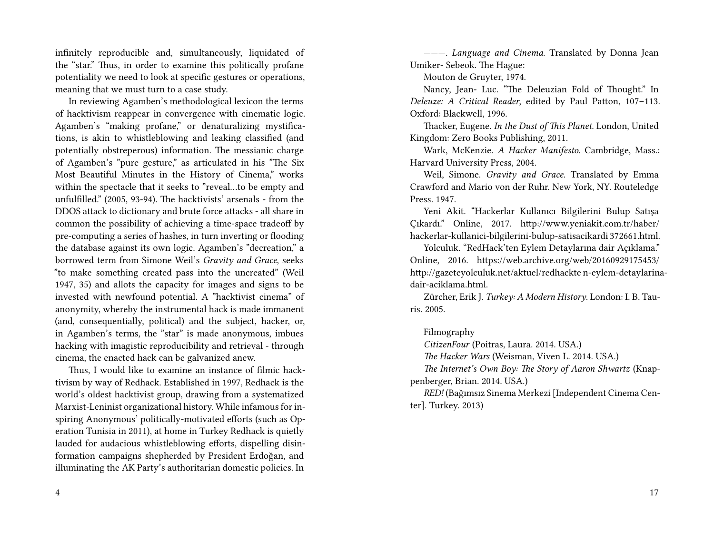infinitely reproducible and, simultaneously, liquidated of the "star." Thus, in order to examine this politically profane potentiality we need to look at specific gestures or operations, meaning that we must turn to a case study.

In reviewing Agamben's methodological lexicon the terms of hacktivism reappear in convergence with cinematic logic. Agamben's "making profane," or denaturalizing mystifications, is akin to whistleblowing and leaking classified (and potentially obstreperous) information. The messianic charge of Agamben's "pure gesture," as articulated in his "The Six Most Beautiful Minutes in the History of Cinema," works within the spectacle that it seeks to "reveal…to be empty and unfulfilled." (2005, 93-94). The hacktivists' arsenals - from the DDOS attack to dictionary and brute force attacks - all share in common the possibility of achieving a time-space tradeoff by pre-computing a series of hashes, in turn inverting or flooding the database against its own logic. Agamben's "decreation," a borrowed term from Simone Weil's *Gravity and Grace*, seeks "to make something created pass into the uncreated" (Weil 1947, 35) and allots the capacity for images and signs to be invested with newfound potential. A "hacktivist cinema" of anonymity, whereby the instrumental hack is made immanent (and, consequentially, political) and the subject, hacker, or, in Agamben's terms, the "star" is made anonymous, imbues hacking with imagistic reproducibility and retrieval - through cinema, the enacted hack can be galvanized anew.

Thus, I would like to examine an instance of filmic hacktivism by way of Redhack. Established in 1997, Redhack is the world's oldest hacktivist group, drawing from a systematized Marxist-Leninist organizational history. While infamous for inspiring Anonymous' politically-motivated efforts (such as Operation Tunisia in 2011), at home in Turkey Redhack is quietly lauded for audacious whistleblowing efforts, dispelling disinformation campaigns shepherded by President Erdoğan, and illuminating the AK Party's authoritarian domestic policies. In

4

———. *Language and Cinema*. Translated by Donna Jean Umiker- Sebeok. The Hague:

Mouton de Gruyter, 1974.

Nancy, Jean- Luc. "The Deleuzian Fold of Thought." In *Deleuze: A Critical Reader*, edited by Paul Patton, 107–113. Oxford: Blackwell, 1996.

Thacker, Eugene. *In the Dust of This Planet*. London, United Kingdom: Zero Books Publishing, 2011.

Wark, McKenzie. *A Hacker Manifesto*. Cambridge, Mass.: Harvard University Press, 2004.

Weil, Simone. *Gravity and Grace*. Translated by Emma Crawford and Mario von der Ruhr. New York, NY. Routeledge Press. 1947.

Yeni Akit. "Hackerlar Kullanıcı Bilgilerini Bulup Satışa Çıkardı." Online, 2017. http://www.yeniakit.com.tr/haber/ hackerlar-kullanici-bilgilerini-bulup-satisacikardi 372661.html.

Yolculuk. "RedHack'ten Eylem Detaylarına dair Açıklama." Online, 2016. https://web.archive.org/web/20160929175453/ http://gazeteyolculuk.net/aktuel/redhackte n-eylem-detaylarinadair-aciklama.html.

Zürcher, Erik J. *Turkey: A Modern History*. London: I. B. Tauris. 2005.

## Filmography

*CitizenFour* (Poitras, Laura. 2014. USA.)

*The Hacker Wars* (Weisman, Viven L. 2014. USA.)

*The Internet's Own Boy: The Story of Aaron Shwartz* (Knappenberger, Brian. 2014. USA.)

*RED!* (Bağımsız Sinema Merkezi [Independent Cinema Center]. Turkey. 2013)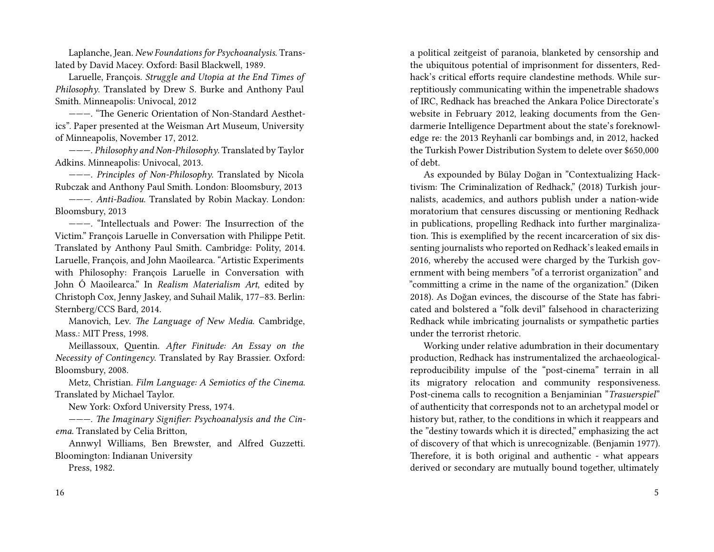Laplanche, Jean. *New Foundations for Psychoanalysis*. Translated by David Macey. Oxford: Basil Blackwell, 1989.

Laruelle, François. *Struggle and Utopia at the End Times of Philosophy*. Translated by Drew S. Burke and Anthony Paul Smith. Minneapolis: Univocal, 2012

———. "The Generic Orientation of Non-Standard Aesthetics". Paper presented at the Weisman Art Museum, University of Minneapolis, November 17, 2012.

———. *Philosophy and Non-Philosophy*. Translated by Taylor Adkins. Minneapolis: Univocal, 2013.

———. *Principles of Non-Philosophy*. Translated by Nicola Rubczak and Anthony Paul Smith. London: Bloomsbury, 2013

———. *Anti-Badiou*. Translated by Robin Mackay. London: Bloomsbury, 2013

———. "Intellectuals and Power: The Insurrection of the Victim." François Laruelle in Conversation with Philippe Petit. Translated by Anthony Paul Smith. Cambridge: Polity, 2014. Laruelle, François, and John Maoilearca. "Artistic Experiments with Philosophy: François Laruelle in Conversation with John Ó Maoilearca." In *Realism Materialism Art*, edited by Christoph Cox, Jenny Jaskey, and Suhail Malik, 177–83. Berlin: Sternberg/CCS Bard, 2014.

Manovich, Lev. *The Language of New Media*. Cambridge, Mass.: MIT Press, 1998.

Meillassoux, Quentin. *After Finitude: An Essay on the Necessity of Contingency*. Translated by Ray Brassier. Oxford: Bloomsbury, 2008.

Metz, Christian. *Film Language: A Semiotics of the Cinema*. Translated by Michael Taylor.

New York: Oxford University Press, 1974.

———. *The Imaginary Signifier: Psychoanalysis and the Cinema*. Translated by Celia Britton,

Annwyl Williams, Ben Brewster, and Alfred Guzzetti. Bloomington: Indianan University

Press, 1982.

a political zeitgeist of paranoia, blanketed by censorship and the ubiquitous potential of imprisonment for dissenters, Redhack's critical efforts require clandestine methods. While surreptitiously communicating within the impenetrable shadows of IRC, Redhack has breached the Ankara Police Directorate's website in February 2012, leaking documents from the Gendarmerie Intelligence Department about the state's foreknowledge re: the 2013 Reyhanli car bombings and, in 2012, hacked the Turkish Power Distribution System to delete over \$650,000 of debt.

As expounded by Bülay Doğan in "Contextualizing Hacktivism: The Criminalization of Redhack," (2018) Turkish journalists, academics, and authors publish under a nation-wide moratorium that censures discussing or mentioning Redhack in publications, propelling Redhack into further marginalization. This is exemplified by the recent incarceration of six dissenting journalists who reported on Redhack's leaked emails in 2016, whereby the accused were charged by the Turkish government with being members "of a terrorist organization" and "committing a crime in the name of the organization." (Diken 2018). As Doğan evinces, the discourse of the State has fabricated and bolstered a "folk devil" falsehood in characterizing Redhack while imbricating journalists or sympathetic parties under the terrorist rhetoric.

Working under relative adumbration in their documentary production, Redhack has instrumentalized the archaeologicalreproducibility impulse of the "post-cinema" terrain in all its migratory relocation and community responsiveness. Post-cinema calls to recognition a Benjaminian "*Trasuerspiel*" of authenticity that corresponds not to an archetypal model or history but, rather, to the conditions in which it reappears and the "destiny towards which it is directed," emphasizing the act of discovery of that which is unrecognizable. (Benjamin 1977). Therefore, it is both original and authentic - what appears derived or secondary are mutually bound together, ultimately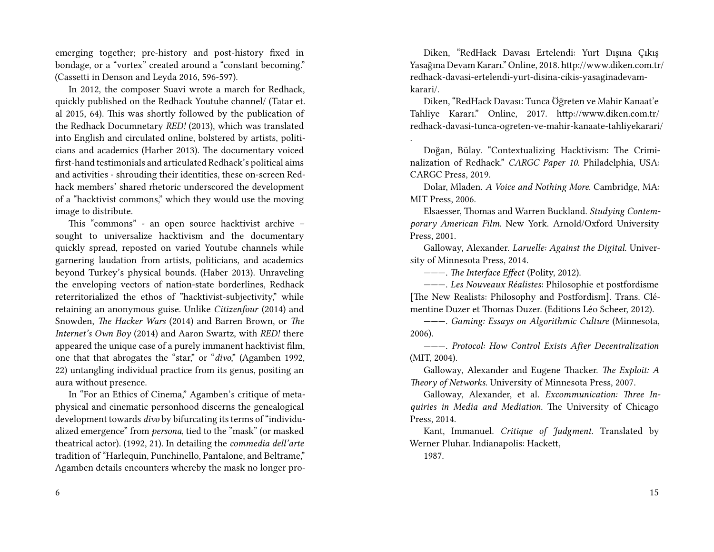emerging together; pre-history and post-history fixed in bondage, or a "vortex" created around a "constant becoming." (Cassetti in Denson and Leyda 2016, 596-597).

In 2012, the composer Suavi wrote a march for Redhack, quickly published on the Redhack Youtube channel/ (Tatar et. al 2015, 64). This was shortly followed by the publication of the Redhack Documnetary *RED!* (2013), which was translated into English and circulated online, bolstered by artists, politicians and academics (Harber 2013). The documentary voiced first-hand testimonials and articulated Redhack's political aims and activities - shrouding their identities, these on-screen Redhack members' shared rhetoric underscored the development of a "hacktivist commons," which they would use the moving image to distribute.

This "commons" - an open source hacktivist archive – sought to universalize hacktivism and the documentary quickly spread, reposted on varied Youtube channels while garnering laudation from artists, politicians, and academics beyond Turkey's physical bounds. (Haber 2013). Unraveling the enveloping vectors of nation-state borderlines, Redhack reterritorialized the ethos of "hacktivist-subjectivity," while retaining an anonymous guise. Unlike *Citizenfour* (2014) and Snowden, *The Hacker Wars* (2014) and Barren Brown, or *The Internet's Own Boy* (2014) and Aaron Swartz, with *RED!* there appeared the unique case of a purely immanent hacktivist film, one that that abrogates the "star," or "*divo*," (Agamben 1992, 22) untangling individual practice from its genus, positing an aura without presence.

In "For an Ethics of Cinema," Agamben's critique of metaphysical and cinematic personhood discerns the genealogical development towards *divo* by bifurcating its terms of "individualized emergence" from *persona*, tied to the "mask" (or masked theatrical actor). (1992, 21). In detailing the *commedia dell'arte* tradition of "Harlequin, Punchinello, Pantalone, and Beltrame," Agamben details encounters whereby the mask no longer pro-

6

Diken, "RedHack Davası Ertelendi: Yurt Dışına Çıkış Yasağına Devam Kararı." Online, 2018. http://www.diken.com.tr/ redhack-davasi-ertelendi-yurt-disina-cikis-yasaginadevamkarari/.

Diken, "RedHack Davası: Tunca Öğreten ve Mahir Kanaat'e Tahliye Kararı." Online, 2017. http://www.diken.com.tr/ redhack-davasi-tunca-ogreten-ve-mahir-kanaate-tahliyekarari/

Doğan, Bülay. "Contextualizing Hacktivism: The Criminalization of Redhack." *CARGC Paper 10.* Philadelphia, USA: CARGC Press, 2019.

Dolar, Mladen. *A Voice and Nothing More*. Cambridge, MA: MIT Press, 2006.

Elsaesser, Thomas and Warren Buckland. *Studying Contemporary American Film.* New York. Arnold/Oxford University Press, 2001.

Galloway, Alexander. *Laruelle: Against the Digital*. University of Minnesota Press, 2014.

———. *The Interface Effect* (Polity, 2012).

———. *Les Nouveaux Réalistes*: Philosophie et postfordisme [The New Realists: Philosophy and Postfordism]. Trans. Clémentine Duzer et Thomas Duzer. (Editions Léo Scheer, 2012).

———. *Gaming: Essays on Algorithmic Culture* (Minnesota, 2006).

———. *Protocol: How Control Exists After Decentralization* (MIT, 2004).

Galloway, Alexander and Eugene Thacker. *The Exploit: A Theory of Networks*. University of Minnesota Press, 2007.

Galloway, Alexander, et al. *Excommunication: Three Inquiries in Media and Mediation*. The University of Chicago Press, 2014.

Kant, Immanuel. *Critique of Judgment*. Translated by Werner Pluhar. Indianapolis: Hackett,

1987.

.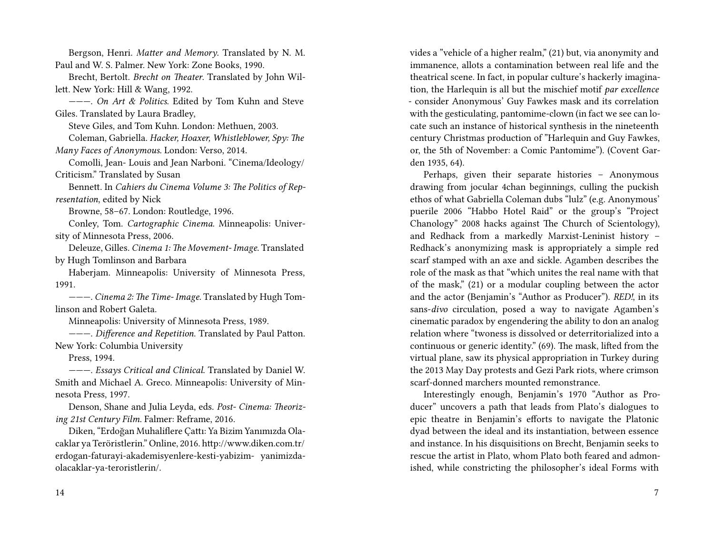Bergson, Henri. *Matter and Memory*. Translated by N. M. Paul and W. S. Palmer. New York: Zone Books, 1990.

Brecht, Bertolt. *Brecht on Theater*. Translated by John Willett. New York: Hill & Wang, 1992.

———. *On Art & Politics*. Edited by Tom Kuhn and Steve Giles. Translated by Laura Bradley,

Steve Giles, and Tom Kuhn. London: Methuen, 2003.

Coleman, Gabriella. *Hacker, Hoaxer, Whistleblower, Spy: The Many Faces of Anonymous.* London: Verso, 2014.

Comolli, Jean- Louis and Jean Narboni. "Cinema/Ideology/ Criticism." Translated by Susan

Bennett. In *Cahiers du Cinema Volume 3: The Politics of Representation*, edited by Nick

Browne, 58–67. London: Routledge, 1996.

Conley, Tom. *Cartographic Cinema*. Minneapolis: University of Minnesota Press, 2006.

Deleuze, Gilles. *Cinema 1: The Movement- Image*. Translated by Hugh Tomlinson and Barbara

Haberjam. Minneapolis: University of Minnesota Press, 1991.

———. *Cinema 2: The Time- Image*. Translated by Hugh Tomlinson and Robert Galeta.

Minneapolis: University of Minnesota Press, 1989.

———. *Difference and Repetition*. Translated by Paul Patton. New York: Columbia University

Press, 1994.

———. *Essays Critical and Clinical*. Translated by Daniel W. Smith and Michael A. Greco. Minneapolis: University of Minnesota Press, 1997.

Denson, Shane and Julia Leyda, eds. *Post- Cinema: Theorizing 21st Century Film*. Falmer: Reframe, 2016.

Diken, "Erdoğan Muhaliflere Çattı: Ya Bizim Yanımızda Olacaklar ya Teröristlerin." Online, 2016. http://www.diken.com.tr/ erdogan-faturayi-akademisyenlere-kesti-yabizim- yanimizdaolacaklar-ya-teroristlerin/.

vides a "vehicle of a higher realm," (21) but, via anonymity and immanence, allots a contamination between real life and the theatrical scene. In fact, in popular culture's hackerly imagination, the Harlequin is all but the mischief motif *par excellence* - consider Anonymous' Guy Fawkes mask and its correlation with the gesticulating, pantomime-clown (in fact we see can locate such an instance of historical synthesis in the nineteenth century Christmas production of "Harlequin and Guy Fawkes, or, the 5th of November: a Comic Pantomime"). (Covent Garden 1935, 64).

Perhaps, given their separate histories – Anonymous drawing from jocular 4chan beginnings, culling the puckish ethos of what Gabriella Coleman dubs "lulz" (e.g. Anonymous' puerile 2006 "Habbo Hotel Raid" or the group's "Project Chanology" 2008 hacks against The Church of Scientology), and Redhack from a markedly Marxist-Leninist history – Redhack's anonymizing mask is appropriately a simple red scarf stamped with an axe and sickle. Agamben describes the role of the mask as that "which unites the real name with that of the mask," (21) or a modular coupling between the actor and the actor (Benjamin's "Author as Producer"). *RED!*, in its sans-*divo* circulation, posed a way to navigate Agamben's cinematic paradox by engendering the ability to don an analog relation where "twoness is dissolved or deterritorialized into a continuous or generic identity." (69). The mask, lifted from the virtual plane, saw its physical appropriation in Turkey during the 2013 May Day protests and Gezi Park riots, where crimson scarf-donned marchers mounted remonstrance.

Interestingly enough, Benjamin's 1970 "Author as Producer" uncovers a path that leads from Plato's dialogues to epic theatre in Benjamin's efforts to navigate the Platonic dyad between the ideal and its instantiation, between essence and instance. In his disquisitions on Brecht, Benjamin seeks to rescue the artist in Plato, whom Plato both feared and admonished, while constricting the philosopher's ideal Forms with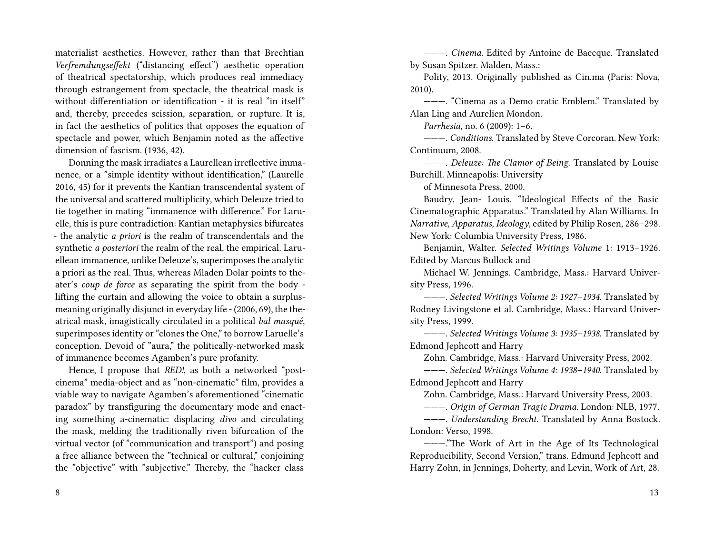materialist aesthetics. However, rather than that Brechtian *Verfremdungseffekt* ("distancing effect") aesthetic operation of theatrical spectatorship, which produces real immediacy through estrangement from spectacle, the theatrical mask is without differentiation or identification - it is real "in itself" and, thereby, precedes scission, separation, or rupture. It is, in fact the aesthetics of politics that opposes the equation of spectacle and power, which Benjamin noted as the affective dimension of fascism. (1936, 42).

Donning the mask irradiates a Laurellean irreflective immanence, or a "simple identity without identification," (Laurelle 2016, 45) for it prevents the Kantian transcendental system of the universal and scattered multiplicity, which Deleuze tried to tie together in mating "immanence with difference." For Laruelle, this is pure contradiction: Kantian metaphysics bifurcates - the analytic *a priori* is the realm of transcendentals and the synthetic *a posteriori* the realm of the real, the empirical. Laruellean immanence, unlike Deleuze's, superimposes the analytic a priori as the real. Thus, whereas Mladen Dolar points to theater's *coup de force* as separating the spirit from the body lifting the curtain and allowing the voice to obtain a surplusmeaning originally disjunct in everyday life - (2006, 69), the theatrical mask, imagistically circulated in a political *bal masqué*, superimposes identity or "clones the One," to borrow Laruelle's conception. Devoid of "aura," the politically-networked mask of immanence becomes Agamben's pure profanity.

Hence, I propose that *RED!*, as both a networked "postcinema" media-object and as "non-cinematic" film, provides a viable way to navigate Agamben's aforementioned "cinematic paradox" by transfiguring the documentary mode and enacting something a-cinematic: displacing *divo* and circulating the mask, melding the traditionally riven bifurcation of the virtual vector (of "communication and transport") and posing a free alliance between the "technical or cultural," conjoining the "objective" with "subjective." Thereby, the "hacker class

———. *Cinema*. Edited by Antoine de Baecque. Translated by Susan Spitzer. Malden, Mass.:

Polity, 2013. Originally published as Cin.ma (Paris: Nova, 2010).

———. "Cinema as a Demo cratic Emblem." Translated by Alan Ling and Aurelien Mondon.

*Parrhesia*, no. 6 (2009): 1–6.

———. *Conditions*. Translated by Steve Corcoran. New York: Continuum, 2008.

———. *Deleuze: The Clamor of Being*. Translated by Louise Burchill. Minneapolis: University

of Minnesota Press, 2000.

Baudry, Jean- Louis. "Ideological Effects of the Basic Cinematographic Apparatus." Translated by Alan Williams. In *Narrative, Apparatus, Ideology*, edited by Philip Rosen, 286–298. New York: Columbia University Press, 1986.

Benjamin, Walter. *Selected Writings Volume* 1: 1913–1926. Edited by Marcus Bullock and

Michael W. Jennings. Cambridge, Mass.: Harvard University Press, 1996.

———. *Selected Writings Volume 2: 1927–1934*. Translated by Rodney Livingstone et al. Cambridge, Mass.: Harvard University Press, 1999.

———. *Selected Writings Volume 3: 1935–1938*. Translated by Edmond Jephcott and Harry

Zohn. Cambridge, Mass.: Harvard University Press, 2002.

———. *Selected Writings Volume 4: 1938–1940*. Translated by Edmond Jephcott and Harry

Zohn. Cambridge, Mass.: Harvard University Press, 2003.

———. *Origin of German Tragic Drama*. London: NLB, 1977.

———. *Understanding Brecht*. Translated by Anna Bostock. London: Verso, 1998.

———."The Work of Art in the Age of Its Technological Reproducibility, Second Version," trans. Edmund Jephcott and Harry Zohn, in Jennings, Doherty, and Levin, Work of Art, 28.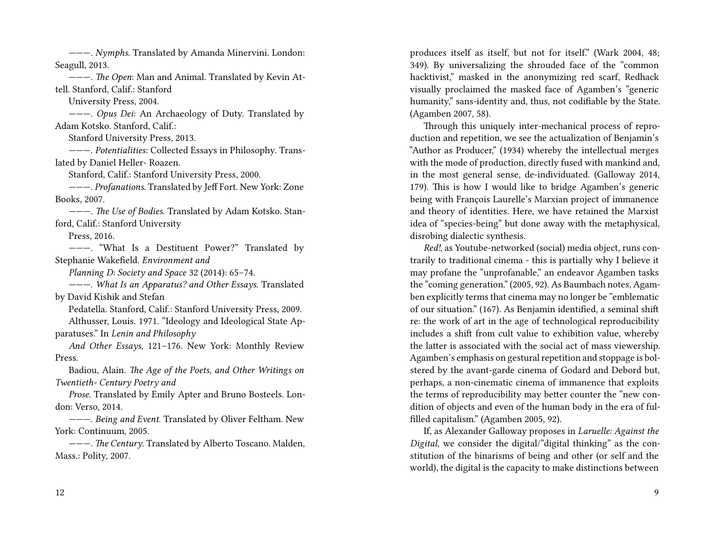———. *Nymphs*. Translated by Amanda Minervini. London: Seagull, 2013.

———. *The Open*: Man and Animal. Translated by Kevin Attell. Stanford, Calif.: Stanford

University Press, 2004.

———. *Opus Dei*: An Archaeology of Duty. Translated by Adam Kotsko. Stanford, Calif.:

Stanford University Press, 2013.

———. *Potentialities*: Collected Essays in Philosophy. Translated by Daniel Heller- Roazen.

Stanford, Calif.: Stanford University Press, 2000.

———. *Profanations*. Translated by Jeff Fort. New York: Zone Books, 2007.

———. *The Use of Bodies*. Translated by Adam Kotsko. Stanford, Calif.: Stanford University

Press, 2016.

———. "What Is a Destituent Power?" Translated by Stephanie Wakefield. *Environment and*

*Planning D: Society and Space* 32 (2014): 65–74.

———. *What Is an Apparatus? and Other Essays*. Translated by David Kishik and Stefan

Pedatella. Stanford, Calif.: Stanford University Press, 2009.

Althusser, Louis. 1971. "Ideology and Ideological State Apparatuses." In *Lenin and Philosophy*

*And Other Essays*, 121–176. New York: Monthly Review Press.

Badiou, Alain. *The Age of the Poets, and Other Writings on Twentieth- Century Poetry and*

*Prose*. Translated by Emily Apter and Bruno Bosteels. London: Verso, 2014.

———. *Being and Event*. Translated by Oliver Feltham. New York: Continuum, 2005.

———. *The Century*. Translated by Alberto Toscano. Malden, Mass.: Polity, 2007.

produces itself as itself, but not for itself." (Wark 2004, 48; 349). By universalizing the shrouded face of the "common hacktivist," masked in the anonymizing red scarf, Redhack visually proclaimed the masked face of Agamben's "generic humanity," sans-identity and, thus, not codifiable by the State. (Agamben 2007, 58).

Through this uniquely inter-mechanical process of reproduction and repetition, we see the actualization of Benjamin's "Author as Producer," (1934) whereby the intellectual merges with the mode of production, directly fused with mankind and, in the most general sense, de-individuated. (Galloway 2014, 179). This is how I would like to bridge Agamben's generic being with François Laurelle's Marxian project of immanence and theory of identities. Here, we have retained the Marxist idea of "species-being" but done away with the metaphysical, disrobing dialectic synthesis.

*Red!*, as Youtube-networked (social) media object, runs contrarily to traditional cinema - this is partially why I believe it may profane the "unprofanable," an endeavor Agamben tasks the "coming generation." (2005, 92). As Baumbach notes, Agamben explicitly terms that cinema may no longer be "emblematic of our situation." (167). As Benjamin identified, a seminal shift re: the work of art in the age of technological reproducibility includes a shift from cult value to exhibition value, whereby the latter is associated with the social act of mass viewership. Agamben's emphasis on gestural repetition and stoppage is bolstered by the avant-garde cinema of Godard and Debord but, perhaps, a non-cinematic cinema of immanence that exploits the terms of reproducibility may better counter the "new condition of objects and even of the human body in the era of fulfilled capitalism." (Agamben 2005, 92).

If, as Alexander Galloway proposes in *Laruelle: Against the Digital*, we consider the digital/"digital thinking" as the constitution of the binarisms of being and other (or self and the world), the digital is the capacity to make distinctions between